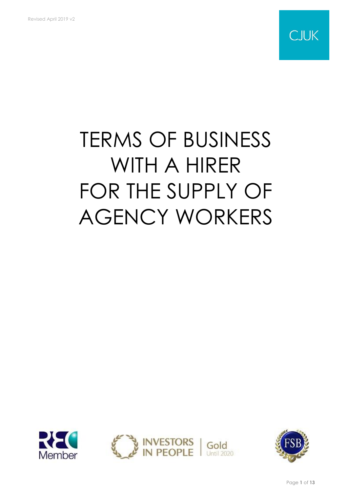

# TERMS OF BUSINESS WITH A HIRER FOR THE SUPPLY OF AGENCY WORKERS



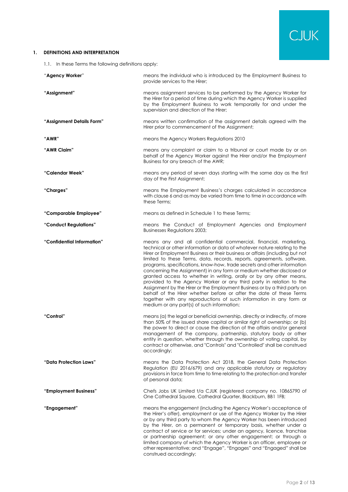

# **1. DEFINITIONS AND INTERPRETATION**

<span id="page-1-0"></span>1.1. In these Terms the following definitions apply:

| "Agency Worker"            | means the individual who is introduced by the Employment Business to<br>provide services to the Hirer;                                                                                                                                                                                                                                                                                                                                                                                                                                                                                                                                                                                                                                                                                                                                                                           |
|----------------------------|----------------------------------------------------------------------------------------------------------------------------------------------------------------------------------------------------------------------------------------------------------------------------------------------------------------------------------------------------------------------------------------------------------------------------------------------------------------------------------------------------------------------------------------------------------------------------------------------------------------------------------------------------------------------------------------------------------------------------------------------------------------------------------------------------------------------------------------------------------------------------------|
| "Assignment"               | means assignment services to be performed by the Agency Worker for<br>the Hirer for a period of time during which the Agency Worker is supplied<br>by the Employment Business to work temporarily for and under the<br>supervision and direction of the Hirer;                                                                                                                                                                                                                                                                                                                                                                                                                                                                                                                                                                                                                   |
| "Assignment Details Form"  | means written confirmation of the assignment details agreed with the<br>Hirer prior to commencement of the Assignment;                                                                                                                                                                                                                                                                                                                                                                                                                                                                                                                                                                                                                                                                                                                                                           |
| "AWR"                      | means the Agency Workers Regulations 2010                                                                                                                                                                                                                                                                                                                                                                                                                                                                                                                                                                                                                                                                                                                                                                                                                                        |
| "AWR Claim"                | means any complaint or claim to a tribunal or court made by or on<br>behalf of the Agency Worker against the Hirer and/or the Employment<br>Business for any breach of the AWR;                                                                                                                                                                                                                                                                                                                                                                                                                                                                                                                                                                                                                                                                                                  |
| "Calendar Week"            | means any period of seven days starting with the same day as the first<br>day of the First Assignment;                                                                                                                                                                                                                                                                                                                                                                                                                                                                                                                                                                                                                                                                                                                                                                           |
| "Charges"                  | means the Employment Business's charges calculated in accordance<br>with clause 6 and as may be varied from time to time in accordance with<br>these Terms:                                                                                                                                                                                                                                                                                                                                                                                                                                                                                                                                                                                                                                                                                                                      |
| "Comparable Employee"      | means as defined in Schedule 1 to these Terms:                                                                                                                                                                                                                                                                                                                                                                                                                                                                                                                                                                                                                                                                                                                                                                                                                                   |
| "Conduct Regulations"      | means the Conduct of Employment Agencies and Employment<br><b>Businesses Regulations 2003;</b>                                                                                                                                                                                                                                                                                                                                                                                                                                                                                                                                                                                                                                                                                                                                                                                   |
| "Confidential Information" | means any and all confidential commercial, financial, marketing,<br>technical or other information or data of whatever nature relating to the<br>Hirer or Employment Business or their business or affairs (including but not<br>limited to these Terms, data, records, reports, agreements, software,<br>programs, specifications, know-how, trade secrets and other information<br>concerning the Assignment) in any form or medium whether disclosed or<br>granted access to whether in writing, orally or by any other means,<br>provided to the Agency Worker or any third party in relation to the<br>Assignment by the Hirer or the Employment Business or by a third party on<br>behalf of the Hirer whether before or after the date of these Terms<br>together with any reproductions of such information in any form or<br>medium or any part(s) of such information; |
| "Control"                  | means (a) the legal or beneficial ownership, directly or indirectly, of more<br>than 50% of the issued share capital or similar right of ownership; or (b)<br>the power to direct or cause the direction of the affairs and/or general<br>management of the company, partnership, statutory body or other<br>entity in question, whether through the ownership of voting capital, by<br>contract or otherwise, and "Controls" and "Controlled" shall be construed<br>accordingly;                                                                                                                                                                                                                                                                                                                                                                                                |
| "Data Protection Laws"     | means the Data Protection Act 2018, the General Data Protection<br>Regulation (EU 2016/679) and any applicable statutory or regulatory<br>provisions in force from time to time relating to the protection and transfer<br>of personal data;                                                                                                                                                                                                                                                                                                                                                                                                                                                                                                                                                                                                                                     |
| "Employment Business"      | Chefs Jobs UK Limited t/a CJUK (registered company no. 10865790 of<br>One Cathedral Square, Cathedral Quarter, Blackburn, BB1 1FB;                                                                                                                                                                                                                                                                                                                                                                                                                                                                                                                                                                                                                                                                                                                                               |
| "Engagement"               | means the engagement (including the Agency Worker's acceptance of<br>the Hirer's offer), employment or use of the Agency Worker by the Hirer<br>or by any third party to whom the Agency Worker has been introduced<br>by the Hirer, on a permanent or temporary basis, whether under a<br>contract of service or for services; under an agency, licence, franchise<br>or partnership agreement; or any other engagement; or through a<br>limited company of which the Agency Worker is an officer, employee or<br>other representative; and "Engage", "Engages" and "Engaged" shall be<br>construed accordingly;                                                                                                                                                                                                                                                                |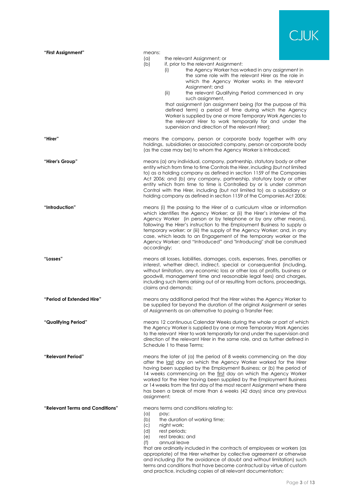

| "First Assignment"              | means:                                        | the relevant Assignment; or                                                                                                                                                                                                                                                                                                                                                                                                                                                                                                         |
|---------------------------------|-----------------------------------------------|-------------------------------------------------------------------------------------------------------------------------------------------------------------------------------------------------------------------------------------------------------------------------------------------------------------------------------------------------------------------------------------------------------------------------------------------------------------------------------------------------------------------------------------|
|                                 | $(\alpha)$<br>(b)                             | if, prior to the relevant Assignment:                                                                                                                                                                                                                                                                                                                                                                                                                                                                                               |
|                                 |                                               | the Agency Worker has worked in any assignment in<br>(i)<br>the same role with the relevant Hirer as the role in<br>which the Agency Worker works in the relevant<br>Assignment; and                                                                                                                                                                                                                                                                                                                                                |
|                                 |                                               | the relevant Qualifying Period commenced in any<br>(ii)                                                                                                                                                                                                                                                                                                                                                                                                                                                                             |
|                                 |                                               | such assignment,<br>that assignment (an assignment being (for the purpose of this<br>defined term) a period of time during which the Agency<br>Worker is supplied by one or more Temporary Work Agencies to<br>the relevant Hirer to work temporarily for and under the<br>supervision and direction of the relevant Hirer);                                                                                                                                                                                                        |
| "Hirer"                         |                                               | means the company, person or corporate body together with any<br>holdings, subsidiaries or associated company, person or corporate body<br>(as the case may be) to whom the Agency Worker is Introduced;                                                                                                                                                                                                                                                                                                                            |
| "Hirer's Group"                 |                                               | means (a) any individual, company, partnership, statutory body or other<br>entity which from time to time Controls the Hirer, including (but not limited<br>to) as a holding company as defined in section 1159 of the Companies<br>Act 2006; and (b) any company, partnership, statutory body or other<br>entity which from time to time is Controlled by or is under common<br>Control with the Hirer, including (but not limited to) as a subsidiary or<br>holding company as defined in section 1159 of the Companies Act 2006; |
| "Introduction"                  | accordingly;                                  | means (i) the passing to the Hirer of a curriculum vitae or information<br>which identifies the Agency Worker; or (ii) the Hirer's interview of the<br>Agency Worker (in person or by telephone or by any other means),<br>following the Hirer's instruction to the Employment Business to supply a<br>temporary worker; or (iii) the supply of the Agency Worker; and, in any<br>case, which leads to an Engagement of the temporary worker or the<br>Agency Worker; and "Introduced" and "Introducing" shall be construed         |
| "Losses"                        |                                               | means all losses, liabilities, damages, costs, expenses, fines, penalties or<br>interest, whether direct, indirect, special or consequential (including,<br>without limitation, any economic loss or other loss of profits, business or<br>goodwill, management time and reasonable legal fees) and charges,<br>including such items arising out of or resulting from actions, proceedings,<br>claims and demands;                                                                                                                  |
| "Period of Extended Hire"       |                                               | means any additional period that the Hirer wishes the Agency Worker to<br>be supplied for beyond the duration of the original Assignment or series<br>of Assignments as an alternative to paying a Transfer Fee;                                                                                                                                                                                                                                                                                                                    |
| "Qualifying Period"             |                                               | means 12 continuous Calendar Weeks during the whole or part of which<br>the Agency Worker is supplied by one or more Temporary Work Agencies<br>to the relevant Hirer to work temporarily for and under the supervision and<br>direction of the relevant Hirer in the same role, and as further defined in<br>Schedule 1 to these Terms;                                                                                                                                                                                            |
| "Relevant Period"               | assignment;                                   | means the later of (a) the period of 8 weeks commencing on the day<br>after the last day on which the Agency Worker worked for the Hirer<br>having been supplied by the Employment Business; or (b) the period of<br>14 weeks commencing on the first day on which the Agency Worker<br>worked for the Hirer having been supplied by the Employment Business<br>or 14 weeks from the first day of the most recent Assignment where there<br>has been a break of more than 6 weeks (42 days) since any previous                      |
| "Relevant Terms and Conditions" | $(\alpha)$<br>(b)<br>(c)<br>(d)<br>(e)<br>(f) | means terms and conditions relating to:<br>pay;<br>the duration of working time;<br>night work;<br>rest periods;<br>rest breaks; and<br>annual leave<br>that are ordinarily included in the contracts of employees or workers (as<br>appropriate) of the Hirer whether by collective agreement or otherwise<br>and including (for the avoidance of doubt and without limitation) such<br>terms and conditions that have become contractual by virtue of custom<br>and practice, including copies of all relevant documentation;     |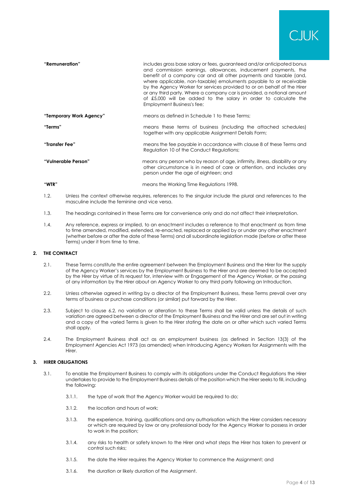

| "Remuneration"          | includes gross base salary or fees, guaranteed and/or anticipated bonus<br>and commission earnings, allowances, inducement payments, the<br>benefit of a company car and all other payments and taxable (and,<br>where applicable, non-taxable) emoluments payable to or receivable<br>by the Agency Worker for services provided to or on behalf of the Hirer<br>or any third party. Where a company car is provided, a notional amount<br>of £5,000 will be added to the salary in order to calculate the<br>Employment Business's fee; |
|-------------------------|-------------------------------------------------------------------------------------------------------------------------------------------------------------------------------------------------------------------------------------------------------------------------------------------------------------------------------------------------------------------------------------------------------------------------------------------------------------------------------------------------------------------------------------------|
| "Temporary Work Agency" | means as defined in Schedule 1 to these Terms:                                                                                                                                                                                                                                                                                                                                                                                                                                                                                            |
| "Terms"                 | means these terms of business (including the attached schedules)<br>together with any applicable Assignment Details Form;                                                                                                                                                                                                                                                                                                                                                                                                                 |
| "Transfer Fee"          | means the fee payable in accordance with clause 8 of these Terms and<br>Regulation 10 of the Conduct Regulations;                                                                                                                                                                                                                                                                                                                                                                                                                         |
| "Vulnerable Person"     | means any person who by reason of age, infirmity, illness, disability or any<br>other circumstance is in need of care or attention, and includes any<br>person under the age of eighteen; and                                                                                                                                                                                                                                                                                                                                             |
| "WTR"                   | means the Working Time Regulations 1998.                                                                                                                                                                                                                                                                                                                                                                                                                                                                                                  |

- 1.2. Unless the context otherwise requires, references to the singular include the plural and references to the masculine include the feminine and vice versa.
- 1.3. The headings contained in these Terms are for convenience only and do not affect their interpretation.
- 1.4. Any reference, express or implied, to an enactment includes a reference to that enactment as from time to time amended, modified, extended, re-enacted, replaced or applied by or under any other enactment (whether before or after the date of these Terms) and all subordinate legislation made (before or after these Terms) under it from time to time.

## **2. THE CONTRACT**

- 2.1. These Terms constitute the entire agreement between the Employment Business and the Hirer for the supply of the Agency Worker's services by the Employment Business to the Hirer and are deemed to be accepted by the Hirer by virtue of its request for, interview with or Engagement of the Agency Worker, or the passing of any information by the Hirer about an Agency Worker to any third party following an Introduction.
- 2.2. Unless otherwise agreed in writing by a director of the Employment Business, these Terms prevail over any terms of business or purchase conditions (or similar) put forward by the Hirer.
- 2.3. Subject to clause [6.2,](#page-6-1) no variation or alteration to these Terms shall be valid unless the details of such variation are agreed between a director of the Employment Business and the Hirer and are set out in writing and a copy of the varied Terms is given to the Hirer stating the date on or after which such varied Terms shall apply.
- 2.4. The Employment Business shall act as an employment business (as defined in Section 13(3) of the Employment Agencies Act 1973 (as amended) when Introducing Agency Workers for Assignments with the Hirer.

# **3. HIRER OBLIGATIONS**

- 3.1. To enable the Employment Business to comply with its obligations under the Conduct Regulations the Hirer undertakes to provide to the Employment Business details of the position which the Hirer seeks to fill, including the following:
	- 3.1.1. the type of work that the Agency Worker would be required to do;
	- 3.1.2. the location and hours of work;
	- 3.1.3. the experience, training, qualifications and any authorisation which the Hirer considers necessary or which are required by law or any professional body for the Agency Worker to possess in order to work in the position;
	- 3.1.4. any risks to health or safety known to the Hirer and what steps the Hirer has taken to prevent or control such risks;
	- 3.1.5. the date the Hirer requires the Agency Worker to commence the Assignment; and
	- 3.1.6. the duration or likely duration of the Assignment.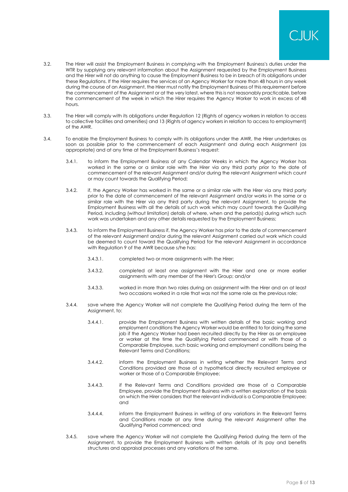

- 3.2. The Hirer will assist the Employment Business in complying with the Employment Business's duties under the WTR by supplying any relevant information about the Assignment requested by the Employment Business and the Hirer will not do anything to cause the Employment Business to be in breach of its obligations under these Regulations. If the Hirer requires the services of an Agency Worker for more than 48 hours in any week during the course of an Assignment, the Hirer must notify the Employment Business of this requirement before the commencement of the Assignment or at the very latest, where this is not reasonably practicable, before the commencement of the week in which the Hirer requires the Agency Worker to work in excess of 48 hours.
- 3.3. The Hirer will comply with its obligations under Regulation 12 (Rights of agency workers in relation to access to collective facilities and amenities) and 13 (Rights of agency workers in relation to access to employment) of the AWR.
- <span id="page-4-0"></span>3.4. To enable the Employment Business to comply with its obligations under the AWR, the Hirer undertakes as soon as possible prior to the commencement of each Assignment and during each Assignment (as appropriate) and at any time at the Employment Business's request:
	- 3.4.1. to inform the Employment Business of any Calendar Weeks in which the Agency Worker has worked in the same or a similar role with the Hirer via any third party prior to the date of commencement of the relevant Assignment and/or during the relevant Assignment which count or may count towards the Qualifying Period;
	- 3.4.2. if, the Agency Worker has worked in the same or a similar role with the Hirer via any third party prior to the date of commencement of the relevant Assignment and/or works in the same or a similar role with the Hirer via any third party during the relevant Assignment, to provide the Employment Business with all the details of such work which may count towards the Qualifying Period, including (without limitation) details of where, when and the period(s) during which such work was undertaken and any other details requested by the Employment Business;
	- 3.4.3. to inform the Employment Business if, the Agency Worker has prior to the date of commencement of the relevant Assignment and/or during the relevant Assignment carried out work which could be deemed to count toward the Qualifying Period for the relevant Assignment in accordance with Regulation 9 of the AWR because s/he has:
		- 3.4.3.1. completed two or more assignments with the Hirer;
		- 3.4.3.2. completed at least one assignment with the Hirer and one or more earlier assignments with any member of the Hirer's Group; and/or
		- 3.4.3.3. worked in more than two roles during an assignment with the Hirer and on at least two occasions worked in a role that was not the same role as the previous role;
	- 3.4.4. save where the Agency Worker will not complete the Qualifying Period during the term of the Assianment, to:
		- 3.4.4.1. provide the Employment Business with written details of the basic working and employment conditions the Agency Worker would be entitled to for doing the same job if the Agency Worker had been recruited directly by the Hirer as an employee or worker at the time the Qualifying Period commenced or with those of a Comparable Employee, such basic working and employment conditions being the Relevant Terms and Conditions;
		- 3.4.4.2. inform the Employment Business in writing whether the Relevant Terms and Conditions provided are those of a hypothetical directly recruited employee or worker or those of a Comparable Employee;
		- 3.4.4.3. if the Relevant Terms and Conditions provided are those of a Comparable Employee, provide the Employment Business with a written explanation of the basis on which the Hirer considers that the relevant individual is a Comparable Employee; and
		- 3.4.4.4. inform the Employment Business in writing of any variations in the Relevant Terms and Conditions made at any time during the relevant Assignment after the Qualifying Period commenced; and
	- 3.4.5. save where the Agency Worker will not complete the Qualifying Period during the term of the Assignment, to provide the Employment Business with written details of its pay and benefits structures and appraisal processes and any variations of the same.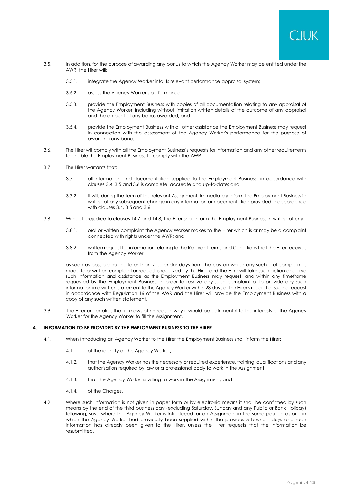

- <span id="page-5-2"></span><span id="page-5-0"></span>3.5. In addition, for the purpose of awarding any bonus to which the Agency Worker may be entitled under the AWR, the Hirer will:
	- 3.5.1. integrate the Agency Worker into its relevant performance appraisal system;
	- 3.5.2. assess the Agency Worker's performance;
	- 3.5.3. provide the Employment Business with copies of all documentation relating to any appraisal of the Agency Worker, including without limitation written details of the outcome of any appraisal and the amount of any bonus awarded; and
	- 3.5.4. provide the Employment Business with all other assistance the Employment Business may request in connection with the assessment of the Agency Worker's performance for the purpose of awarding any bonus.
- <span id="page-5-1"></span>3.6. The Hirer will comply with all the Employment Business's requests for information and any other requirements to enable the Employment Business to comply with the AWR.
- 3.7. The Hirer warrants that:
	- 3.7.1. all information and documentation supplied to the Employment Business in accordance with clauses [3.4,](#page-4-0) [3.5](#page-5-0) and [3.6](#page-5-1) is complete, accurate and up-to-date; and
	- 3.7.2. it will, during the term of the relevant Assignment, immediately inform the Employment Business in writing of any subsequent change in any information or documentation provided in accordance with clauses [3.4,](#page-4-0) [3.5](#page-5-0) and [3.6.](#page-5-1)
- 3.8. Without prejudice to clause[s 14.7](#page-9-0) an[d 14.8,](#page-9-1) the Hirer shall inform the Employment Business in writing of any:
	- 3.8.1. oral or written complaint the Agency Worker makes to the Hirer which is or may be a complaint connected with rights under the AWR; and
	- 3.8.2. written request for information relating to the Relevant Terms and Conditions that the Hirer receives from the Agency Worker

as soon as possible but no later than 7 calendar days from the day on which any such oral complaint is made to or written complaint or request is received by the Hirer and the Hirer will take such action and give such information and assistance as the Employment Business may request, and within any timeframe requested by the Employment Business, in order to resolve any such complaint or to provide any such information in a written statement to the Agency Worker within 28 days of the Hirer's receipt of such a request in accordance with Regulation 16 of the AWR and the Hirer will provide the Employment Business with a copy of any such written statement.

3.9. The Hirer undertakes that it knows of no reason why it would be detrimental to the interests of the Agency Worker for the Agency Worker to fill the Assignment.

#### **4. INFORMATION TO BE PROVIDED BY THE EMPLOYMENT BUSINESS TO THE HIRER**

- 4.1. When Introducing an Agency Worker to the Hirer the Employment Business shall inform the Hirer:
	- 4.1.1. of the identity of the Agency Worker;
	- 4.1.2. that the Agency Worker has the necessary or required experience, training, qualifications and any authorisation required by law or a professional body to work in the Assignment;
	- 4.1.3. that the Agency Worker is willing to work in the Assignment; and
	- 4.1.4. of the Charges.
- 4.2. Where such information is not given in paper form or by electronic means it shall be confirmed by such means by the end of the third business day (excluding Saturday, Sunday and any Public or Bank Holiday) following, save where the Agency Worker is Introduced for an Assignment in the same position as one in which the Agency Worker had previously been supplied within the previous 5 business days and such information has already been given to the Hirer, unless the Hirer requests that the information be resubmitted.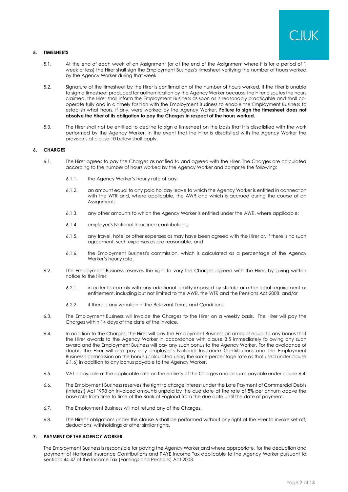

# **5. TIMESHEETS**

- 5.1. At the end of each week of an Assignment (or at the end of the Assignment where it is for a period of 1 week or less) the Hirer shall sign the Employment Business's timesheet verifying the number of hours worked by the Agency Worker during that week.
- 5.2. Signature of the timesheet by the Hirer is confirmation of the number of hours worked. If the Hirer is unable to sign a timesheet produced for authentication by the Agency Worker because the Hirer disputes the hours claimed, the Hirer shall inform the Employment Business as soon as is reasonably practicable and shall cooperate fully and in a timely fashion with the Employment Business to enable the Employment Business to establish what hours, if any, were worked by the Agency Worker. **Failure to sign the timesheet does not absolve the Hirer of its obligation to pay the Charges in respect of the hours worked.**
- 5.3. The Hirer shall not be entitled to decline to sign a timesheet on the basis that it is dissatisfied with the work performed by the Agency Worker. In the event that the Hirer is dissatisfied with the Agency Worker the provisions of clause 10 below shall apply.

# <span id="page-6-0"></span>**6. CHARGES**

- 6.1. The Hirer agrees to pay the Charges as notified to and agreed with the Hirer. The Charges are calculated according to the number of hours worked by the Agency Worker and comprise the following:
	- 6.1.1. the Agency Worker's hourly rate of pay;
	- 6.1.2. an amount equal to any paid holiday leave to which the Agency Worker is entitled in connection with the WTR and, where applicable, the AWR and which is accrued during the course of an Assignment;
	- 6.1.3. any other amounts to which the Agency Worker is entitled under the AWR, where applicable;
	- 6.1.4. employer's National Insurance contributions;
	- 6.1.5. any travel, hotel or other expenses as may have been agreed with the Hirer or, if there is no such agreement, such expenses as are reasonable; and
	- 6.1.6. the Employment Business's commission, which is calculated as a percentage of the Agency Worker's hourly rate.
- <span id="page-6-2"></span><span id="page-6-1"></span>6.2. The Employment Business reserves the right to vary the Charges agreed with the Hirer, by giving written notice to the Hirer:
	- 6.2.1. in order to comply with any additional liability imposed by statute or other legal requirement or entitlement, including but not limited to the AWR, the WTR and the Pensions Act 2008; and/or
	- 6.2.2. if there is any variation in the Relevant Terms and Conditions.
- 6.3. The Employment Business will invoice the Charges to the Hirer on a weekly basis. The Hirer will pay the Charges within 14 days of the date of the invoice.
- <span id="page-6-3"></span>6.4. In addition to the Charges, the Hirer will pay the Employment Business an amount equal to any bonus that the Hirer awards to the Agency Worker in accordance with clause [3.5](#page-5-2) immediately following any such award and the Employment Business will pay any such bonus to the Agency Worker. For the avoidance of doubt, the Hirer will also pay any employer's National Insurance Contributions and the Employment Business's commission on the bonus (calculated using the same percentage rate as that used under clause [6.1.6\)](#page-6-2) in addition to any bonus payable to the Agency Worker.
- 6.5. VAT is payable at the applicable rate on the entirety of the Charges and all sums payable under clause [6.4.](#page-6-3)
- 6.6. The Employment Business reserves the right to charge interest under the Late Payment of Commercial Debts (Interest) Act 1998 on invoiced amounts unpaid by the due date at the rate of 8% per annum above the base rate from time to time of the Bank of England from the due date until the date of payment.
- 6.7. The Employment Business will not refund any of the Charges.
- 6.8. The Hirer's obligations under this clause [6](#page-6-0) shall be performed without any right of the Hirer to invoke set-off, deductions, withholdings or other similar rights.

# <span id="page-6-4"></span>**7. PAYMENT OF THE AGENCY WORKER**

The Employment Business is responsible for paying the Agency Worker and where appropriate, for the deduction and payment of National Insurance Contributions and PAYE Income Tax applicable to the Agency Worker pursuant to sections 44-47 of the Income Tax (Earnings and Pensions) Act 2003.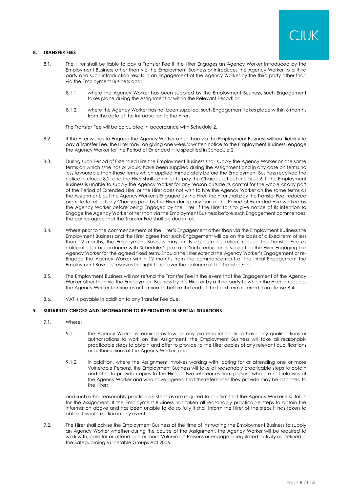

# <span id="page-7-2"></span>**8. TRANSFER FEES**

- 8.1. The Hirer shall be liable to pay a Transfer Fee if the Hirer Engages an Agency Worker Introduced by the Employment Business other than via the Employment Business or introduces the Agency Worker to a third party and such introduction results in an Engagement of the Agency Worker by the third party other than via the Employment Business and:
	- 8.1.1. where the Agency Worker has been supplied by the Employment Business, such Engagement takes place during the Assignment or within the Relevant Period; or
	- 8.1.2. where the Agency Worker has not been supplied, such Engagement takes place within 6 months from the date of the Introduction to the Hirer.

The Transfer Fee will be calculated in accordance with Schedule 2.

- <span id="page-7-0"></span>8.2. If the Hirer wishes to Engage the Agency Worker other than via the Employment Business without liability to pay a Transfer Fee, the Hirer may, on giving one week's written notice to the Employment Business, engage the Agency Worker for the Period of Extended Hire specified in Schedule 2.
- 8.3. During such Period of Extended Hire the Employment Business shall supply the Agency Worker on the same terms on which s/he has or would have been supplied during the Assignment and in any case on terms no less favourable than those terms which applied immediately before the Employment Business received the notice in clause [8.2;](#page-7-0) and the Hirer shall continue to pay the Charges set out in clause [6.](#page-6-0) If the Employment Business is unable to supply the Agency Worker for any reason outside its control for the whole or any part of the Period of Extended Hire; or the Hirer does not wish to hire the Agency Worker on the same terms as the Assignment; but the Agency Worker is Engaged by the Hirer, the Hirer shall pay the Transfer Fee, reduced pro-rata to reflect any Charges paid by the Hirer during any part of the Period of Extended Hire worked by the Agency Worker before being Engaged by the Hirer. If the Hirer fails to give notice of its intention to Engage the Agency Worker other than via the Employment Business before such Engagement commences, the parties agree that the Transfer Fee shall be due in full.
- <span id="page-7-1"></span>8.4. Where prior to the commencement of the Hirer's Engagement other than via the Employment Business the Employment Business and the Hirer agree that such Engagement will be on the basis of a fixed term of less than 12 months, the Employment Business may, in its absolute discretion, reduce the Transfer Fee as calculated in accordance with Schedule 2 pro-rata. Such reduction is subject to the Hirer Engaging the Agency Worker for the agreed fixed term. Should the Hirer extend the Agency Worker's Engagement or re-Engage the Agency Worker within 12 months from the commencement of the initial Engagement the Employment Business reserves the right to recover the balance of the Transfer Fee.
- 8.5. The Employment Business will not refund the Transfer Fee in the event that the Engagement of the Agency Worker other than via the Employment Business by the Hirer or by a third party to which the Hirer introduces the Agency Worker terminates or terminates before the end of the fixed term referred to in clause [8.4.](#page-7-1)
- 8.6. VAT is payable in addition to any Transfer Fee due.

# **9. SUITABILITY CHECKS AND INFORMATION TO BE PROVIDED IN SPECIAL SITUATIONS**

- 9.1. Where:
	- 9.1.1. the Agency Worker is required by law, or any professional body to have any qualifications or authorisations to work on the Assignment, the Employment Business will take all reasonably practicable steps to obtain and offer to provide to the Hirer copies of any relevant qualifications or authorisations of the Agency Worker; and
	- 9.1.2. in addition, where the Assignment involves working with, caring for or attending one or more Vulnerable Persons, the Employment Business will take all reasonably practicable steps to obtain and offer to provide copies to the Hirer of two references from persons who are not relatives of the Agency Worker and who have agreed that the references they provide may be disclosed to the Hirer;

and such other reasonably practicable steps as are required to confirm that the Agency Worker is suitable for the Assignment. If the Employment Business has taken all reasonably practicable steps to obtain the information above and has been unable to do so fully it shall inform the Hirer of the steps it has taken to obtain this information in any event.

9.2. The Hirer shall advise the Employment Business at the time of instructing the Employment Business to supply an Agency Worker whether during the course of the Assignment, the Agency Worker will be required to work with, care for or attend one or more Vulnerable Persons or engage in regulated activity as defined in the Safeguarding Vulnerable Groups Act 2006.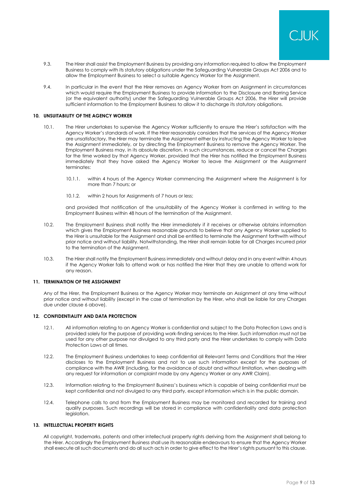

- 9.3. The Hirer shall assist the Employment Business by providing any information required to allow the Employment Business to comply with its statutory obligations under the Safeguarding Vulnerable Groups Act 2006 and to allow the Employment Business to select a suitable Agency Worker for the Assignment.
- 9.4. In particular in the event that the Hirer removes an Agency Worker from an Assignment in circumstances which would require the Employment Business to provide information to the Disclosure and Barring Service (or the equivalent authority) under the Safeguarding Vulnerable Groups Act 2006, the Hirer will provide sufficient information to the Employment Business to allow it to discharge its statutory obligations.

#### **10. UNSUITABILITY OF THE AGENCY WORKER**

- 10.1. The Hirer undertakes to supervise the Agency Worker sufficiently to ensure the Hirer's satisfaction with the Agency Worker's standards of work. If the Hirer reasonably considers that the services of the Agency Worker are unsatisfactory, the Hirer may terminate the Assignment either by instructing the Agency Worker to leave the Assignment immediately, or by directing the Employment Business to remove the Agency Worker. The Employment Business may, in its absolute discretion, in such circumstances, reduce or cancel the Charges for the time worked by that Agency Worker, provided that the Hirer has notified the Employment Business immediately that they have asked the Agency Worker to leave the Assignment or the Assignment terminates:
	- 10.1.1. within 4 hours of the Agency Worker commencing the Assignment where the Assignment is for more than 7 hours; or
	- 10.1.2. within 2 hours for Assignments of 7 hours or less;

and provided that notification of the unsuitability of the Agency Worker is confirmed in writing to the Employment Business within 48 hours of the termination of the Assignment.

- 10.2. The Employment Business shall notify the Hirer immediately if it receives or otherwise obtains information which gives the Employment Business reasonable grounds to believe that any Agency Worker supplied to the Hirer is unsuitable for the Assignment and shall be entitled to terminate the Assignment forthwith without prior notice and without liability. Notwithstanding, the Hirer shall remain liable for all Charges incurred prior to the termination of the Assignment.
- 10.3. The Hirer shall notify the Employment Business immediately and without delay and in any event within 4 hours if the Agency Worker fails to attend work or has notified the Hirer that they are unable to attend work for any reason.

#### **11. TERMINATION OF THE ASSIGNMENT**

Any of the Hirer, the Employment Business or the Agency Worker may terminate an Assignment at any time without prior notice and without liability (except in the case of termination by the Hirer, who shall be liable for any Charges due under clause [6](#page-6-0) above).

#### **12. CONFIDENTIALITY AND DATA PROTECTION**

- 12.1. All information relating to an Agency Worker is confidential and subject to the Data Protection Laws and is provided solely for the purpose of providing work-finding services to the Hirer. Such information must not be used for any other purpose nor divulged to any third party and the Hirer undertakes to comply with Data Protection Laws at all times.
- 12.2. The Employment Business undertakes to keep confidential all Relevant Terms and Conditions that the Hirer discloses to the Employment Business and not to use such information except for the purposes of compliance with the AWR (including, for the avoidance of doubt and without limitation, when dealing with any request for information or complaint made by any Agency Worker or any AWR Claim).
- 12.3. Information relating to the Employment Business's business which is capable of being confidential must be kept confidential and not divulged to any third party, except information which is in the public domain.
- 12.4. Telephone calls to and from the Employment Business may be monitored and recorded for training and quality purposes. Such recordings will be stored in compliance with confidentiality and data protection leaislation.

# **13. INTELLECTUAL PROPERTY RIGHTS**

All copyright, trademarks, patents and other intellectual property rights deriving from the Assignment shall belong to the Hirer. Accordingly the Employment Business shall use its reasonable endeavours to ensure that the Agency Worker shall execute all such documents and do all such acts in order to give effect to the Hirer's rights pursuant to this clause.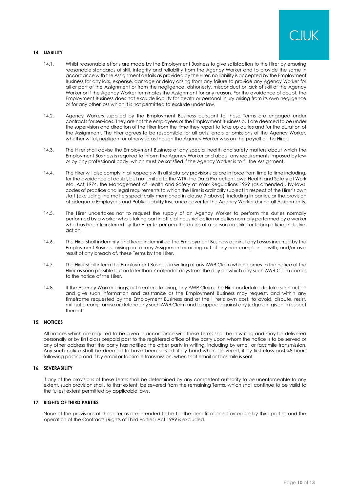

# **14. LIABILITY**

- 14.1. Whilst reasonable efforts are made by the Employment Business to give satisfaction to the Hirer by ensuring reasonable standards of skill, integrity and reliability from the Agency Worker and to provide the same in accordance with the Assignment details as provided by the Hirer, no liability is accepted by the Employment Business for any loss, expense, damage or delay arising from any failure to provide any Agency Worker for all or part of the Assignment or from the negligence, dishonesty, misconduct or lack of skill of the Agency Worker or if the Agency Worker terminates the Assignment for any reason. For the avoidance of doubt, the Employment Business does not exclude liability for death or personal injury arising from its own negligence or for any other loss which it is not permitted to exclude under law.
- 14.2. Agency Workers supplied by the Employment Business pursuant to these Terms are engaged under contracts for services. They are not the employees of the Employment Business but are deemed to be under the supervision and direction of the Hirer from the time they report to take up duties and for the duration of the Assignment. The Hirer agrees to be responsible for all acts, errors or omissions of the Agency Worker, whether wilful, negligent or otherwise as though the Agency Worker was on the payroll of the Hirer.
- 14.3. The Hirer shall advise the Employment Business of any special health and safety matters about which the Employment Business is required to inform the Agency Worker and about any requirements imposed by law or by any professional body, which must be satisfied if the Agency Worker is to fill the Assignment.
- 14.4. The Hirer will also comply in all respects with all statutory provisions as are in force from time to time including, for the avoidance of doubt, but not limited to the WTR, the Data Protection Laws, Health and Safety at Work etc. Act 1974, the Management of Health and Safety at Work Regulations 1999 (as amended), by-laws, codes of practice and legal requirements to which the Hirer is ordinarily subject in respect of the Hirer's own staff (excluding the matters specifically mentioned in clause [7](#page-6-4) above), including in particular the provision of adequate Employer's and Public Liability Insurance cover for the Agency Worker during all Assignments.
- 14.5. The Hirer undertakes not to request the supply of an Agency Worker to perform the duties normally performed by a worker who is taking part in official industrial action or duties normally performed by a worker who has been transferred by the Hirer to perform the duties of a person on strike or taking official industrial action.
- 14.6. The Hirer shall indemnify and keep indemnified the Employment Business against any Losses incurred by the Employment Business arising out of any Assignment or arising out of any non-compliance with, and/or as a result of any breach of, these Terms by the Hirer.
- <span id="page-9-0"></span>14.7. The Hirer shall inform the Employment Business in writing of any AWR Claim which comes to the notice of the Hirer as soon possible but no later than 7 calendar days from the day on which any such AWR Claim comes to the notice of the Hirer.
- <span id="page-9-1"></span>14.8. If the Agency Worker brings, or threatens to bring, any AWR Claim, the Hirer undertakes to take such action and give such information and assistance as the Employment Business may request, and within any timeframe requested by the Employment Business and at the Hirer's own cost, to avoid, dispute, resist, mitigate, compromise or defend any such AWR Claim and to appeal against any judgment given in respect thereof.

#### **15. NOTICES**

All notices which are required to be given in accordance with these Terms shall be in writing and may be delivered personally or by first class prepaid post to the registered office of the party upon whom the notice is to be served or any other address that the party has notified the other party in writing, including by email or facsimile transmission. Any such notice shall be deemed to have been served: if by hand when delivered, if by first class post 48 hours following posting and if by email or facsimile transmission, when that email or facsimile is sent.

#### **16. SEVERABILITY**

If any of the provisions of these Terms shall be determined by any competent authority to be unenforceable to any extent, such provision shall, to that extent, be severed from the remaining Terms, which shall continue to be valid to the fullest extent permitted by applicable laws.

## **17. RIGHTS OF THIRD PARTIES**

None of the provisions of these Terms are intended to be for the benefit of or enforceable by third parties and the operation of the Contracts (Rights of Third Parties) Act 1999 is excluded.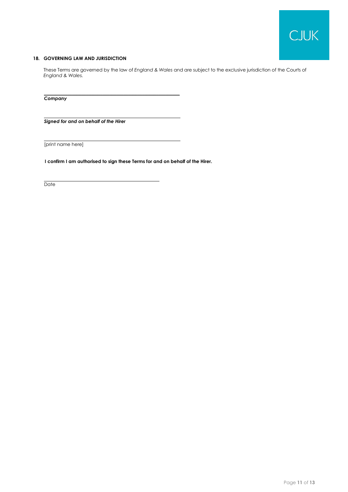

# **18. GOVERNING LAW AND JURISDICTION**

These Terms are governed by the law of *England & Wales* and are subject to the exclusive jurisdiction of the Courts of *England & Wales.*

*Company*

*Signed for and on behalf of the Hirer*

[print name here]

**I confirm I am authorised to sign these Terms for and on behalf of the Hirer.** 

**\_\_\_\_\_\_\_\_\_\_\_\_\_\_\_\_\_\_\_\_\_\_\_\_\_\_\_\_\_\_\_\_\_\_\_\_\_\_\_\_\_\_\_\_\_\_\_\_\_\_\_\_\_\_\_\_\_\_**

**Date**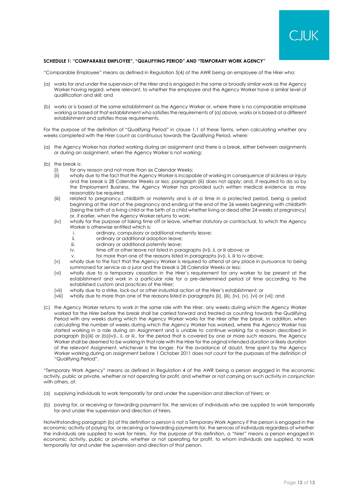

# **SCHEDULE 1: "COMPARABLE EMPLOYEE", "QUALIFYING PERIOD" AND "TEMPORARY WORK AGENCY"**

"Comparable Employee" means as defined in Regulation 5(4) of the AWR being an employee of the Hirer who:

- (a) works for and under the supervision of the Hirer and is engaged in the same or broadly similar work as the Agency Worker having regard, where relevant, to whether the employee and the Agency Worker have a similar level of qualification and skill; and
- (b) works or is based at the same establishment as the Agency Worker or, where there is no comparable employee working or based at that establishment who satisfies the requirements of (a) above, works or is based at a different establishment and satisfies those requirements.

For the purpose of the definition of "Qualifying Period" in clause [1.1](#page-1-0) of these Terms, when calculating whether any weeks completed with the Hirer count as continuous towards the Qualifying Period, where:

- (a) the Agency Worker has started working during an assignment and there is a break, either between assignments or during an assignment, when the Agency Worker is not working;
- (b) the break is:
	- (i) for any reason and not more than six Calendar Weeks;
	- (ii) wholly due to the fact that the Agency Worker is incapable of working in consequence of sickness or injury and the break is 28 Calendar Weeks or less; paragraph (iii) does not apply; and, if required to do so by the Employment Business, the Agency Worker has provided such written medical evidence as may reasonably be required;
	- (iii) related to pregnancy, childbirth or maternity and is at a time in a protected period, being a period beginning at the start of the pregnancy and ending at the end of the 26 weeks beginning with childbirth (being the birth of a living child or the birth of a child whether living or dead after 24 weeks of pregnancy) or, if earlier, when the Agency Worker returns to work;
	- (iv) wholly for the purpose of taking time off or leave, whether statutory or contractual, to which the Agency Worker is otherwise entitled which is:
		- i. ordinary, compulsory or additional maternity leave;
		- ii. ordinary or additional adoption leave;
		- iii. ordinary or additional paternity leave;
		- iv. time off or other leave not listed in paragraphs (iv)i, ii, or iii above; or
		- v. for more than one of the reasons listed in paragraphs (iv)i, ii, iii to iv above;
	- (v) wholly due to the fact that the Agency Worker is required to attend at any place in pursuance to being summoned for service as a juror and the break is 28 Calendar Weeks or less;
	- (vi) wholly due to a temporary cessation in the Hirer's requirement for any worker to be present at the establishment and work in a particular role for a pre-determined period of time according to the established custom and practices of the Hirer;
	- (vii) wholly due to a strike, lock-out or other industrial action at the Hirer's establishment; or
	- (viii) wholly due to more than one of the reasons listed in paragraphs (ii), (iii), (iv), (v), (vi) or (vii); and
- (c) the Agency Worker returns to work in the same role with the Hirer, any weeks during which the Agency Worker worked for the Hirer before the break shall be carried forward and treated as counting towards the Qualifying Period with any weeks during which the Agency Worker works for the Hirer after the break. In addition, when calculating the number of weeks during which the Agency Worker has worked, where the Agency Worker has started working in a role during an Assignment and is unable to continue working for a reason described in paragraph (b)(iii) or (b)(iv)i., ii, or iii., for the period that is covered by one or more such reasons, the Agency Worker shall be deemed to be working in that role with the Hirer for the original intended duration or likely duration of the relevant Assignment, whichever is the longer. For the avoidance of doubt, time spent by the Agency Worker working during an assignment before 1 October 2011 does not count for the purposes of the definition of "Qualifying Period".

"Temporary Work Agency" means as defined in Regulation 4 of the AWR being a person engaged in the economic activity, public or private, whether or not operating for profit, and whether or not carrying on such activity in conjunction with others, of:

- (a) supplying individuals to work temporarily for and under the supervision and direction of hirers; or
- (b) paying for, or receiving or forwarding payment for, the services of individuals who are supplied to work temporarily for and under the supervision and direction of hirers.

Notwithstanding paragraph (b) of this definition a person is not a Temporary Work Agency if the person is engaged in the economic activity of paying for, or receiving or forwarding payments for, the services of individuals regardless of whether the individuals are supplied to work for hirers. For the purpose of this definition, a "hirer" means a person engaged in economic activity, public or private, whether or not operating for profit, to whom individuals are supplied, to work temporarily for and under the supervision and direction of that person.